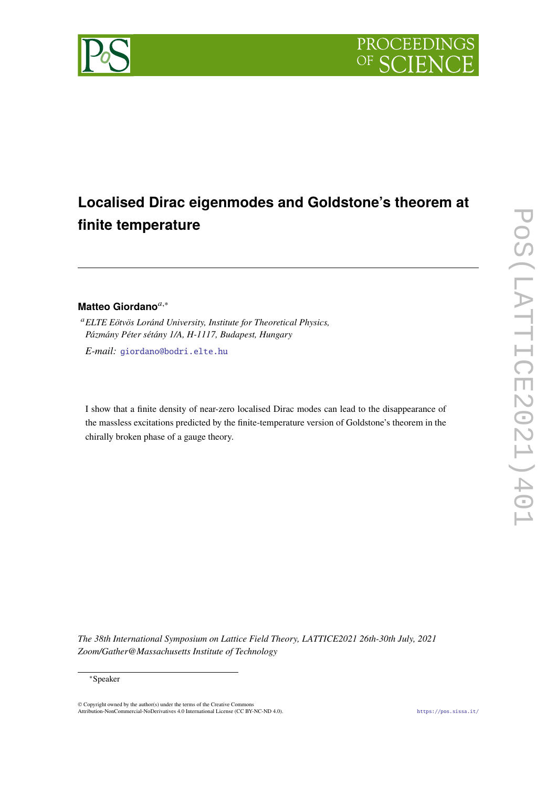

# **Localised Dirac eigenmodes and Goldstone's theorem at finite temperature**

## **Matteo Giordano**,<sup>∗</sup>

*ELTE Eötvös Loránd University, Institute for Theoretical Physics, Pázmány Péter sétány 1/A, H-1117, Budapest, Hungary*

*E-mail:* [giordano@bodri.elte.hu](mailto:giordano@bodri.elte.hu)

I show that a finite density of near-zero localised Dirac modes can lead to the disappearance of the massless excitations predicted by the finite-temperature version of Goldstone's theorem in the chirally broken phase of a gauge theory.

*The 38th International Symposium on Lattice Field Theory, LATTICE2021 26th-30th July, 2021 Zoom/Gather@Massachusetts Institute of Technology*

© Copyright owned by the author(s) under the terms of the Creative Commons Attribution-NonCommercial-NoDerivatives 4.0 International License (CC BY-NC-ND 4.0). <https://pos.sissa.it/>

<sup>∗</sup>Speaker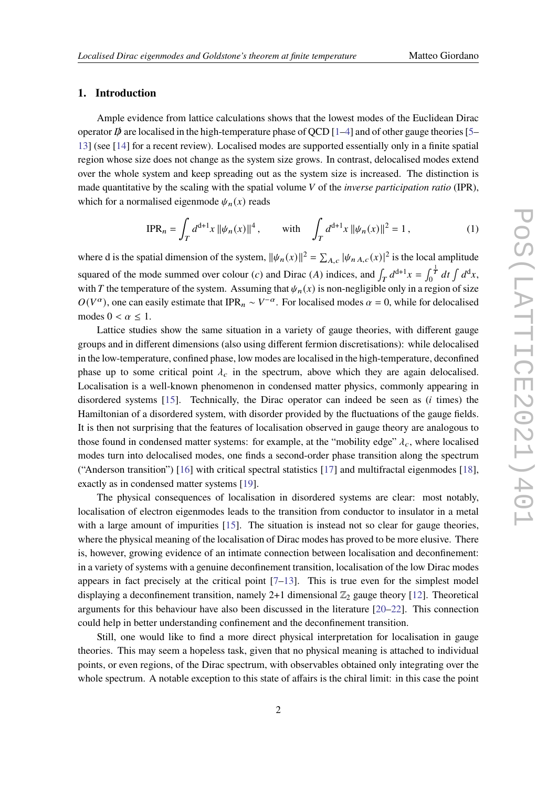### **1. Introduction**

Ample evidence from lattice calculations shows that the lowest modes of the Euclidean Dirac operator  $\vec{p}$  are localised in the high-temperature phase of QCD [\[1](#page-6-0)[–4\]](#page-6-1) and of other gauge theories [\[5–](#page-6-2) [13\]](#page-7-0) (see [\[14\]](#page-7-1) for a recent review). Localised modes are supported essentially only in a finite spatial region whose size does not change as the system size grows. In contrast, delocalised modes extend over the whole system and keep spreading out as the system size is increased. The distinction is made quantitative by the scaling with the spatial volume *V* of the *inverse participation ratio* (IPR), which for a normalised eigenmode  $\psi_n(x)$  reads

$$
\text{IPR}_n = \int_T d^{d+1}x \, ||\psi_n(x)||^4 \,, \qquad \text{with} \quad \int_T d^{d+1}x \, ||\psi_n(x)||^2 = 1 \,, \tag{1}
$$

where d is the spatial dimension of the system,  $\|\psi_n(x)\|^2 = \sum_{A,c} |\psi_{n,A,c}(x)|^2$  is the local amplitude squared of the mode summed over colour (c) and Dirac (A) indices, and  $\int_T d^{d+1}x = \int_0^{\frac{1}{d}}$  $\int_0^{\frac{1}{T}} dt \int d^d x,$ with T the temperature of the system. Assuming that  $\psi_n(x)$  is non-negligible only in a region of size  $O(V^{\alpha})$ , one can easily estimate that IPR<sub>n</sub> ~  $V^{-\alpha}$ . For localised modes  $\alpha = 0$ , while for delocalised modes  $0 < \alpha \leq 1$ .

Lattice studies show the same situation in a variety of gauge theories, with different gauge groups and in different dimensions (also using different fermion discretisations): while delocalised in the low-temperature, confined phase, low modes are localised in the high-temperature, deconfined phase up to some critical point  $\lambda_c$  in the spectrum, above which they are again delocalised. Localisation is a well-known phenomenon in condensed matter physics, commonly appearing in disordered systems [\[15\]](#page-7-2). Technically, the Dirac operator can indeed be seen as  $(i \text{ times})$  the Hamiltonian of a disordered system, with disorder provided by the fluctuations of the gauge fields. It is then not surprising that the features of localisation observed in gauge theory are analogous to those found in condensed matter systems: for example, at the "mobility edge"  $\lambda_c$ , where localised modes turn into delocalised modes, one finds a second-order phase transition along the spectrum ("Anderson transition") [\[16\]](#page-7-3) with critical spectral statistics [\[17\]](#page-7-4) and multifractal eigenmodes [\[18\]](#page-7-5), exactly as in condensed matter systems [\[19\]](#page-7-6).

The physical consequences of localisation in disordered systems are clear: most notably, localisation of electron eigenmodes leads to the transition from conductor to insulator in a metal with a large amount of impurities [\[15\]](#page-7-2). The situation is instead not so clear for gauge theories, where the physical meaning of the localisation of Dirac modes has proved to be more elusive. There is, however, growing evidence of an intimate connection between localisation and deconfinement: in a variety of systems with a genuine deconfinement transition, localisation of the low Dirac modes appears in fact precisely at the critical point  $[7-13]$  $[7-13]$ . This is true even for the simplest model displaying a deconfinement transition, namely 2+1 dimensional  $\mathbb{Z}_2$  gauge theory [\[12\]](#page-7-7). Theoretical arguments for this behaviour have also been discussed in the literature [\[20–](#page-7-8)[22\]](#page-7-9). This connection could help in better understanding confinement and the deconfinement transition.

Still, one would like to find a more direct physical interpretation for localisation in gauge theories. This may seem a hopeless task, given that no physical meaning is attached to individual points, or even regions, of the Dirac spectrum, with observables obtained only integrating over the whole spectrum. A notable exception to this state of affairs is the chiral limit: in this case the point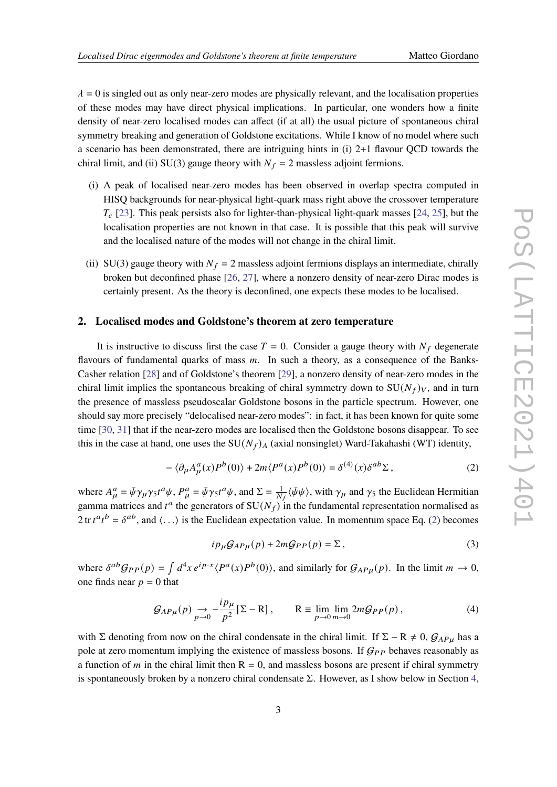$\lambda = 0$  is singled out as only near-zero modes are physically relevant, and the localisation properties of these modes may have direct physical implications. In particular, one wonders how a finite density of near-zero localised modes can affect (if at all) the usual picture of spontaneous chiral symmetry breaking and generation of Goldstone excitations. While I know of no model where such a scenario has been demonstrated, there are intriguing hints in (i) 2+1 flavour QCD towards the chiral limit, and (ii) SU(3) gauge theory with  $N_f = 2$  massless adjoint fermions.

- (i) A peak of localised near-zero modes has been observed in overlap spectra computed in HISQ backgrounds for near-physical light-quark mass right above the crossover temperature  $T_c$  [\[23\]](#page-7-10). This peak persists also for lighter-than-physical light-quark masses [\[24,](#page-7-11) [25\]](#page-7-12), but the localisation properties are not known in that case. It is possible that this peak will survive and the localised nature of the modes will not change in the chiral limit.
- (ii) SU(3) gauge theory with  $N_f = 2$  massless adjoint fermions displays an intermediate, chirally broken but deconfined phase [\[26,](#page-7-13) [27\]](#page-7-14), where a nonzero density of near-zero Dirac modes is certainly present. As the theory is deconfined, one expects these modes to be localised.

### **2. Localised modes and Goldstone's theorem at zero temperature**

It is instructive to discuss first the case  $T = 0$ . Consider a gauge theory with  $N_f$  degenerate flavours of fundamental quarks of mass  $m$ . In such a theory, as a consequence of the Banks-Casher relation [\[28\]](#page-7-15) and of Goldstone's theorem [\[29\]](#page-7-16), a nonzero density of near-zero modes in the chiral limit implies the spontaneous breaking of chiral symmetry down to  $SU(N_f)_V$ , and in turn the presence of massless pseudoscalar Goldstone bosons in the particle spectrum. However, one should say more precisely "delocalised near-zero modes": in fact, it has been known for quite some time [\[30,](#page-7-17) [31\]](#page-7-18) that if the near-zero modes are localised then the Goldstone bosons disappear. To see this in the case at hand, one uses the  $SU(N_f)_A$  (axial nonsinglet) Ward-Takahashi (WT) identity,

<span id="page-2-0"></span>
$$
-\langle \partial_{\mu}A_{\mu}^{a}(x)P^{b}(0)\rangle + 2m\langle P^{a}(x)P^{b}(0)\rangle = \delta^{(4)}(x)\delta^{ab}\Sigma,
$$
\n(2)

where  $A^a_\mu = \bar{\psi} \gamma_\mu \gamma_5 t^a \psi$ ,  $P^a_\mu = \bar{\psi} \gamma_5 t^a \psi$ , and  $\Sigma = \frac{1}{N_f} \langle \bar{\psi} \psi \rangle$ , with  $\gamma_\mu$  and  $\gamma_5$  the Euclidean Hermitian gamma matrices and  $t^a$  the generators of  $SU(N_f)$  in the fundamental representation normalised as  $2 \text{tr} t^a t^b = \delta^{ab}$ , and  $\langle \ldots \rangle$  is the Euclidean expectation value. In momentum space Eq. [\(2\)](#page-2-0) becomes

$$
ip_{\mu}G_{AP\mu}(p) + 2mG_{PP}(p) = \Sigma,
$$
\n(3)

where  $\delta^{ab}G_{PP}(p) = \int d^4x \, e^{ip\cdot x} \langle P^a(x)P^b(0) \rangle$ , and similarly for  $G_{AP\mu}(p)$ . In the limit  $m \to 0$ , one finds near  $p = 0$  that

$$
\mathcal{G}_{AP\mu}(p) \underset{p \to 0}{\to} -\frac{ip_{\mu}}{p^2} [\Sigma - \mathbf{R}], \qquad \mathbf{R} \equiv \lim_{p \to 0} \lim_{m \to 0} 2m \mathcal{G}_{PP}(p), \tag{4}
$$

with Σ denoting from now on the chiral condensate in the chiral limit. If  $\Sigma - R \neq 0$ ,  $\mathcal{G}_{AP\mu}$  has a pole at zero momentum implying the existence of massless bosons. If  $G_{PP}$  behaves reasonably as a function of *m* in the chiral limit then  $R = 0$ , and massless bosons are present if chiral symmetry is spontaneously broken by a nonzero chiral condensate  $\Sigma$ . However, as I show below in Section [4,](#page-4-0)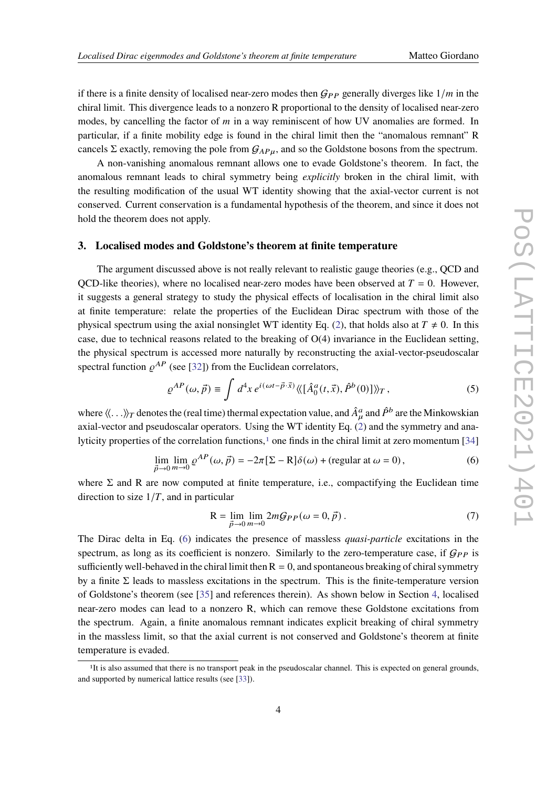if there is a finite density of localised near-zero modes then  $G_{PP}$  generally diverges like  $1/m$  in the chiral limit. This divergence leads to a nonzero R proportional to the density of localised near-zero modes, by cancelling the factor of  $m$  in a way reminiscent of how UV anomalies are formed. In particular, if a finite mobility edge is found in the chiral limit then the "anomalous remnant" R cancels Σ exactly, removing the pole from  $G_{AP\mu}$ , and so the Goldstone bosons from the spectrum.

A non-vanishing anomalous remnant allows one to evade Goldstone's theorem. In fact, the anomalous remnant leads to chiral symmetry being *explicitly* broken in the chiral limit, with the resulting modification of the usual WT identity showing that the axial-vector current is not conserved. Current conservation is a fundamental hypothesis of the theorem, and since it does not hold the theorem does not apply.

### **3. Localised modes and Goldstone's theorem at finite temperature**

The argument discussed above is not really relevant to realistic gauge theories (e.g., QCD and OCD-like theories), where no localised near-zero modes have been observed at  $T = 0$ . However, it suggests a general strategy to study the physical effects of localisation in the chiral limit also at finite temperature: relate the properties of the Euclidean Dirac spectrum with those of the physical spectrum using the axial nonsinglet WT identity Eq. [\(2\)](#page-2-0), that holds also at  $T \neq 0$ . In this case, due to technical reasons related to the breaking of  $O(4)$  invariance in the Euclidean setting, the physical spectrum is accessed more naturally by reconstructing the axial-vector-pseudoscalar spectral function  $\rho^{AP}$  (see [\[32\]](#page-7-19)) from the Euclidean correlators,

$$
\varrho^{AP}(\omega,\vec{p}) \equiv \int d^4x \, e^{i(\omega t - \vec{p}\cdot\vec{x})} \langle\langle [\hat{A}_0^a(t,\vec{x}), \hat{P}^b(0)] \rangle\rangle_T \,, \tag{5}
$$

where  $\langle\!\langle \dots \rangle\!\rangle_T$  denotes the (real time) thermal expectation value, and  $\hat{A}^a_\mu$  and  $\hat{P}^b$  are the Minkowskian axial-vector and pseudoscalar operators. Using the WT identity Eq. [\(2\)](#page-2-0) and the symmetry and ana-lyticity properties of the correlation functions,<sup>[1](#page-3-0)</sup> one finds in the chiral limit at zero momentum  $[34]$ 

<span id="page-3-1"></span>
$$
\lim_{\vec{p}\to 0} \lim_{m\to 0} \varrho^{AP}(\omega, \vec{p}) = -2\pi [\Sigma - \mathcal{R}]\delta(\omega) + (\text{regular at } \omega = 0),\tag{6}
$$

where  $\Sigma$  and R are now computed at finite temperature, i.e., compactifying the Euclidean time direction to size  $1/T$ , and in particular

$$
R = \lim_{\vec{p}\to 0} \lim_{m\to 0} 2mG_{PP}(\omega = 0, \vec{p}).
$$
\n(7)

The Dirac delta in Eq. [\(6\)](#page-3-1) indicates the presence of massless *quasi-particle* excitations in the spectrum, as long as its coefficient is nonzero. Similarly to the zero-temperature case, if  $G_{PP}$  is sufficiently well-behaved in the chiral limit then  $R = 0$ , and spontaneous breaking of chiral symmetry by a finite  $\Sigma$  leads to massless excitations in the spectrum. This is the finite-temperature version of Goldstone's theorem (see [\[35\]](#page-7-21) and references therein). As shown below in Section [4,](#page-4-0) localised near-zero modes can lead to a nonzero R, which can remove these Goldstone excitations from the spectrum. Again, a finite anomalous remnant indicates explicit breaking of chiral symmetry in the massless limit, so that the axial current is not conserved and Goldstone's theorem at finite temperature is evaded.

<span id="page-3-0"></span><sup>&</sup>lt;sup>1</sup>It is also assumed that there is no transport peak in the pseudoscalar channel. This is expected on general grounds, and supported by numerical lattice results (see [\[33\]](#page-7-22)).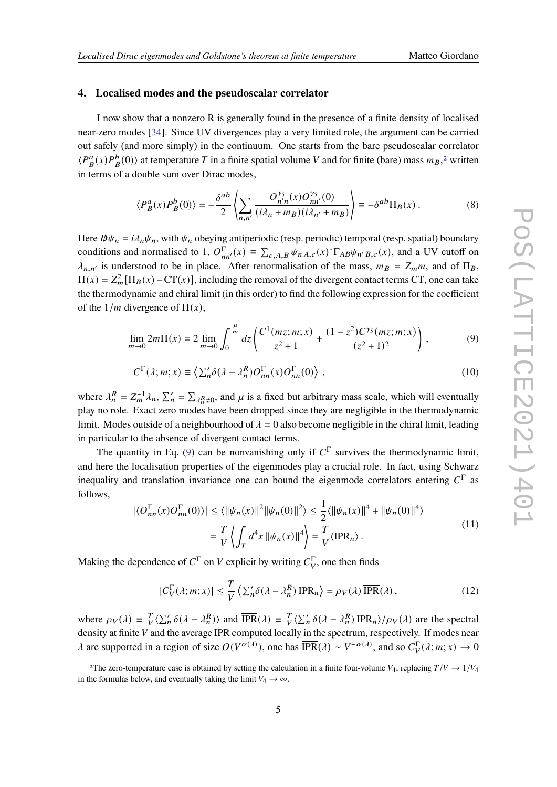### <span id="page-4-0"></span>**4. Localised modes and the pseudoscalar correlator**

I now show that a nonzero R is generally found in the presence of a finite density of localised near-zero modes [\[34\]](#page-7-20). Since UV divergences play a very limited role, the argument can be carried out safely (and more simply) in the continuum. One starts from the bare pseudoscalar correlator  $\langle P^a_B(x)P^b_B(0)\rangle$  at temperature T in a finite spatial volume V and for finite (bare) mass  $m_B$ <sup>[2](#page-4-1)</sup>, written in terms of a double sum over Dirac modes,

$$
\langle P_B^a(x)P_B^b(0)\rangle = -\frac{\delta^{ab}}{2} \left\langle \sum_{n,n'} \frac{O_{n'n}^{\gamma_5}(x)O_{nn'}^{\gamma_5}(0)}{(i\lambda_n + m_B)(i\lambda_{n'} + m_B)} \right\rangle \equiv -\delta^{ab} \Pi_B(x) \,. \tag{8}
$$

Here  $\psi_n = i \lambda_n \psi_n$ , with  $\psi_n$  obeying antiperiodic (resp. periodic) temporal (resp. spatial) boundary conditions and normalised to 1,  $O_{nn'}^{\Gamma}(x) \equiv \sum_{c, A, B} \psi_{n} A_{c}(x)^{*} \Gamma_{AB} \psi_{n'B, c}(x)$ , and a UV cutoff on  $\lambda_{n,n'}$  is understood to be in place. After renormalisation of the mass,  $m_B = Z_m m$ , and of  $\Pi_B$ ,  $\Pi(x) = Z_m^2[\Pi_B(x) - CT(x)]$ , including the removal of the divergent contact terms CT, one can take the thermodynamic and chiral limit (in this order) to find the following expression for the coefficient of the  $1/m$  divergence of  $\Pi(x)$ ,

$$
\lim_{m \to 0} 2m \Pi(x) = 2 \lim_{m \to 0} \int_0^{\frac{\mu}{m}} dz \left( \frac{C^1(mz; m; x)}{z^2 + 1} + \frac{(1 - z^2)C^{\gamma_5}(mz; m; x)}{(z^2 + 1)^2} \right),
$$
(9)

<span id="page-4-2"></span>
$$
C^{\Gamma}(\lambda; m; x) \equiv \left\langle \sum_{n}^{\prime} \delta(\lambda - \lambda_{n}^{R}) O_{nn}^{\Gamma}(x) O_{nn}^{\Gamma}(0) \right\rangle, \qquad (10)
$$

where  $\lambda_n^R = Z_m^{-1} \lambda_n$ ,  $\sum_n' = \sum_{\lambda_n^R \neq 0}$ , and  $\mu$  is a fixed but arbitrary mass scale, which will eventually play no role. Exact zero modes have been dropped since they are negligible in the thermodynamic limit. Modes outside of a neighbourhood of  $\lambda = 0$  also become negligible in the chiral limit, leading in particular to the absence of divergent contact terms.

The quantity in Eq. [\(9\)](#page-4-2) can be nonvanishing only if  $C^{\Gamma}$  survives the thermodynamic limit, and here the localisation properties of the eigenmodes play a crucial role. In fact, using Schwarz inequality and translation invariance one can bound the eigenmode correlators entering  $C^{\Gamma}$  as follows,

$$
\left| \langle O_{nn}^{\Gamma}(x) O_{nn}^{\Gamma}(0) \rangle \right| \leq \langle ||\psi_n(x)||^2 ||\psi_n(0)||^2 \rangle \leq \frac{1}{2} \langle ||\psi_n(x)||^4 + ||\psi_n(0)||^4 \rangle
$$
  
= 
$$
\frac{T}{V} \left\langle \int_T d^4 x ||\psi_n(x)||^4 \right\rangle = \frac{T}{V} \langle \text{IPR}_n \rangle .
$$
 (11)

Making the dependence of  $C^{\Gamma}$  on V explicit by writing  $C^{\Gamma}_V$ , one then finds

$$
|C_V^{\Gamma}(\lambda; m; x)| \le \frac{T}{V} \left\langle \sum_{n=0}^{\infty} \delta(\lambda - \lambda_n^R) \text{IPR}_n \right\rangle = \rho_V(\lambda) \overline{\text{IPR}}(\lambda), \tag{12}
$$

where  $\rho_V(\lambda) \equiv \frac{T}{V} \langle \sum_n' \delta(\lambda - \lambda_n^R) \rangle$  and  $\overline{IPR}(\lambda) \equiv \frac{T}{V} \langle \sum_n' \delta(\lambda - \lambda_n^R) IPR_n \rangle / \rho_V(\lambda)$  are the spectral density at finite  $V$  and the average IPR computed locally in the spectrum, respectively. If modes near  $\lambda$  are supported in a region of size  $O(V^{\alpha(\lambda)})$ , one has  $\overline{\text{IPR}}(\lambda) \sim V^{-\alpha(\lambda)}$ , and so  $C_V^{\Gamma}(\lambda; m; x) \to 0$ 

<span id="page-4-1"></span><sup>&</sup>lt;sup>2</sup>The zero-temperature case is obtained by setting the calculation in a finite four-volume  $V_4$ , replacing  $T/V \rightarrow 1/V_4$ in the formulas below, and eventually taking the limit  $V_4 \rightarrow \infty$ .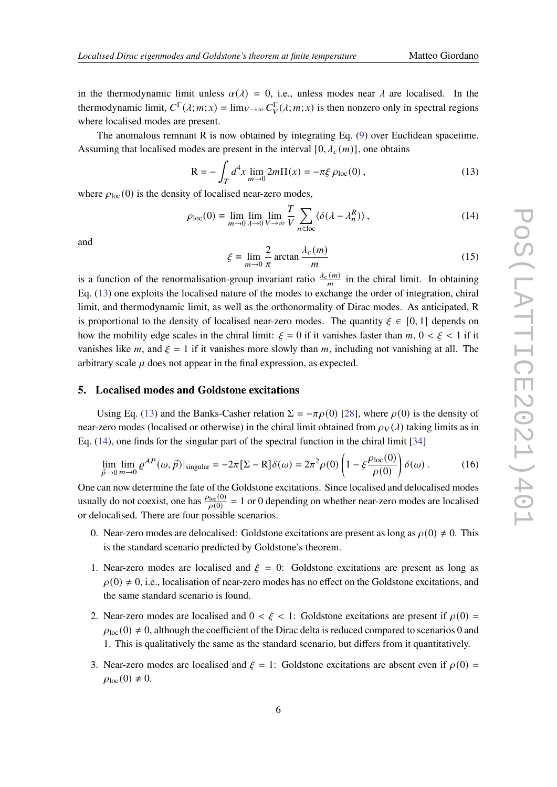in the thermodynamic limit unless  $\alpha(\lambda) = 0$ , i.e., unless modes near  $\lambda$  are localised. In the thermodynamic limit,  $C^{\Gamma}(\lambda; m; x) = \lim_{V \to \infty} C^{\Gamma}_V(\lambda; m; x)$  is then nonzero only in spectral regions where localised modes are present.

The anomalous remnant R is now obtained by integrating Eq. [\(9\)](#page-4-2) over Euclidean spacetime. Assuming that localised modes are present in the interval [0,  $\lambda_c(m)$ ], one obtains

<span id="page-5-0"></span>
$$
R = -\int_{T} d^{4}x \lim_{m \to 0} 2m\Pi(x) = -\pi \xi \rho_{loc}(0), \qquad (13)
$$

where  $\rho_{loc}(0)$  is the density of localised near-zero modes,

<span id="page-5-1"></span>
$$
\rho_{\text{loc}}(0) = \lim_{m \to 0} \lim_{\lambda \to 0} \lim_{V \to \infty} \frac{T}{V} \sum_{n \in \text{loc}} \langle \delta(\lambda - \lambda_n^R) \rangle, \qquad (14)
$$

and

$$
\xi \equiv \lim_{m \to 0} \frac{2}{\pi} \arctan \frac{\lambda_c(m)}{m}
$$
 (15)

is a function of the renormalisation-group invariant ratio  $\frac{\lambda_c(m)}{m}$  in the chiral limit. In obtaining Eq. [\(13\)](#page-5-0) one exploits the localised nature of the modes to exchange the order of integration, chiral limit, and thermodynamic limit, as well as the orthonormality of Dirac modes. As anticipated, R is proportional to the density of localised near-zero modes. The quantity  $\xi \in [0,1]$  depends on how the mobility edge scales in the chiral limit:  $\mathcal{E} = 0$  if it vanishes faster than  $m, 0 \lt \mathcal{E} \lt 1$  if it vanishes like m, and  $\xi = 1$  if it vanishes more slowly than m, including not vanishing at all. The arbitrary scale  $\mu$  does not appear in the final expression, as expected.

### **5. Localised modes and Goldstone excitations**

Using Eq. [\(13\)](#page-5-0) and the Banks-Casher relation  $\Sigma = -\pi \rho(0)$  [\[28\]](#page-7-15), where  $\rho(0)$  is the density of near-zero modes (localised or otherwise) in the chiral limit obtained from  $\rho_V(\lambda)$  taking limits as in Eq. [\(14\)](#page-5-1), one finds for the singular part of the spectral function in the chiral limit [\[34\]](#page-7-20)

$$
\lim_{\vec{p}\to 0} \lim_{m\to 0} \varrho^{AP}(\omega,\vec{p})|_{\text{singular}} = -2\pi \left[\Sigma - R\right]\delta(\omega) = 2\pi^2 \rho(0) \left(1 - \xi \frac{\rho_{\text{loc}}(0)}{\rho(0)}\right)\delta(\omega). \tag{16}
$$

One can now determine the fate of the Goldstone excitations. Since localised and delocalised modes usually do not coexist, one has  $\frac{\rho_{\text{loc}}(0)}{\rho(0)} = 1$  or 0 depending on whether near-zero modes are localised or delocalised. There are four possible scenarios.

- 0. Near-zero modes are delocalised: Goldstone excitations are present as long as  $\rho(0) \neq 0$ . This is the standard scenario predicted by Goldstone's theorem.
- 1. Near-zero modes are localised and  $\xi = 0$ : Goldstone excitations are present as long as  $\rho(0) \neq 0$ , i.e., localisation of near-zero modes has no effect on the Goldstone excitations, and the same standard scenario is found.
- 2. Near-zero modes are localised and  $0 < \xi < 1$ : Goldstone excitations are present if  $\rho(0)$  =  $\rho_{\text{loc}}(0) \neq 0$ , although the coefficient of the Dirac delta is reduced compared to scenarios 0 and 1. This is qualitatively the same as the standard scenario, but differs from it quantitatively.
- 3. Near-zero modes are localised and  $\xi = 1$ : Goldstone excitations are absent even if  $\rho(0) =$  $\rho_{\text{loc}}(0) \neq 0.$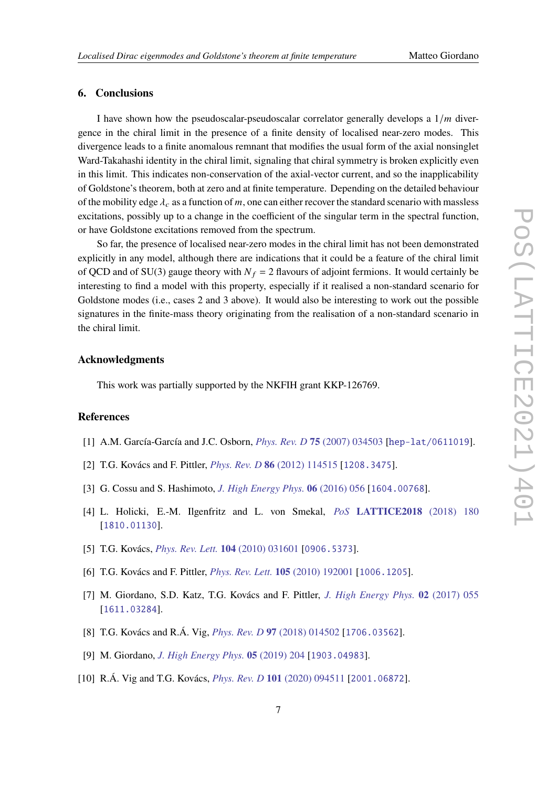### **6. Conclusions**

I have shown how the pseudoscalar-pseudoscalar correlator generally develops a  $1/m$  divergence in the chiral limit in the presence of a finite density of localised near-zero modes. This divergence leads to a finite anomalous remnant that modifies the usual form of the axial nonsinglet Ward-Takahashi identity in the chiral limit, signaling that chiral symmetry is broken explicitly even in this limit. This indicates non-conservation of the axial-vector current, and so the inapplicability of Goldstone's theorem, both at zero and at finite temperature. Depending on the detailed behaviour of the mobility edge  $\lambda_c$  as a function of m, one can either recover the standard scenario with massless excitations, possibly up to a change in the coefficient of the singular term in the spectral function, or have Goldstone excitations removed from the spectrum.

So far, the presence of localised near-zero modes in the chiral limit has not been demonstrated explicitly in any model, although there are indications that it could be a feature of the chiral limit of QCD and of SU(3) gauge theory with  $N_f = 2$  flavours of adjoint fermions. It would certainly be interesting to find a model with this property, especially if it realised a non-standard scenario for Goldstone modes (i.e., cases 2 and 3 above). It would also be interesting to work out the possible signatures in the finite-mass theory originating from the realisation of a non-standard scenario in the chiral limit.

### **Acknowledgments**

This work was partially supported by the NKFIH grant KKP-126769.

### **References**

- <span id="page-6-0"></span>[1] A.M. García-García and J.C. Osborn, *Phys. Rev. D* **75** [\(2007\) 034503](https://doi.org/10.1103/PhysRevD.75.034503) [[hep-lat/0611019](https://arxiv.org/abs/hep-lat/0611019)].
- [2] T.G. Kovács and F. Pittler, *Phys. Rev. D* **86** [\(2012\) 114515](https://doi.org/10.1103/PhysRevD.86.114515) [[1208.3475](https://arxiv.org/abs/1208.3475)].
- [3] G. Cossu and S. Hashimoto, *[J. High Energy Phys.](https://doi.org/10.1007/JHEP06(2016)056)* **06** (2016) 056 [[1604.00768](https://arxiv.org/abs/1604.00768)].
- <span id="page-6-1"></span>[4] L. Holicki, E.-M. Ilgenfritz and L. von Smekal, *PoS* **[LATTICE2018](https://doi.org/10.22323/1.334.0180)** (2018) 180 [[1810.01130](https://arxiv.org/abs/1810.01130)].
- <span id="page-6-2"></span>[5] T.G. Kovács, *[Phys. Rev. Lett.](https://doi.org/10.1103/PhysRevLett.104.031601)* **104** (2010) 031601 [[0906.5373](https://arxiv.org/abs/0906.5373)].
- [6] T.G. Kovács and F. Pittler, *[Phys. Rev. Lett.](https://doi.org/10.1103/PhysRevLett.105.192001)* **105** (2010) 192001 [[1006.1205](https://arxiv.org/abs/1006.1205)].
- <span id="page-6-3"></span>[7] M. Giordano, S.D. Katz, T.G. Kovács and F. Pittler, *[J. High Energy Phys.](https://doi.org/10.1007/JHEP02(2017)055)* **02** (2017) 055 [[1611.03284](https://arxiv.org/abs/1611.03284)].
- [8] T.G. Kovács and R.Á. Vig, *Phys. Rev. D* **97** [\(2018\) 014502](https://doi.org/10.1103/PhysRevD.97.014502) [[1706.03562](https://arxiv.org/abs/1706.03562)].
- [9] M. Giordano, *[J. High Energy Phys.](https://doi.org/10.1007/JHEP05(2019)204)* **05** (2019) 204 [[1903.04983](https://arxiv.org/abs/1903.04983)].
- [10] R.Á. Vig and T.G. Kovács, *Phys. Rev. D* **101** [\(2020\) 094511](https://doi.org/10.1103/PhysRevD.101.094511) [[2001.06872](https://arxiv.org/abs/2001.06872)].